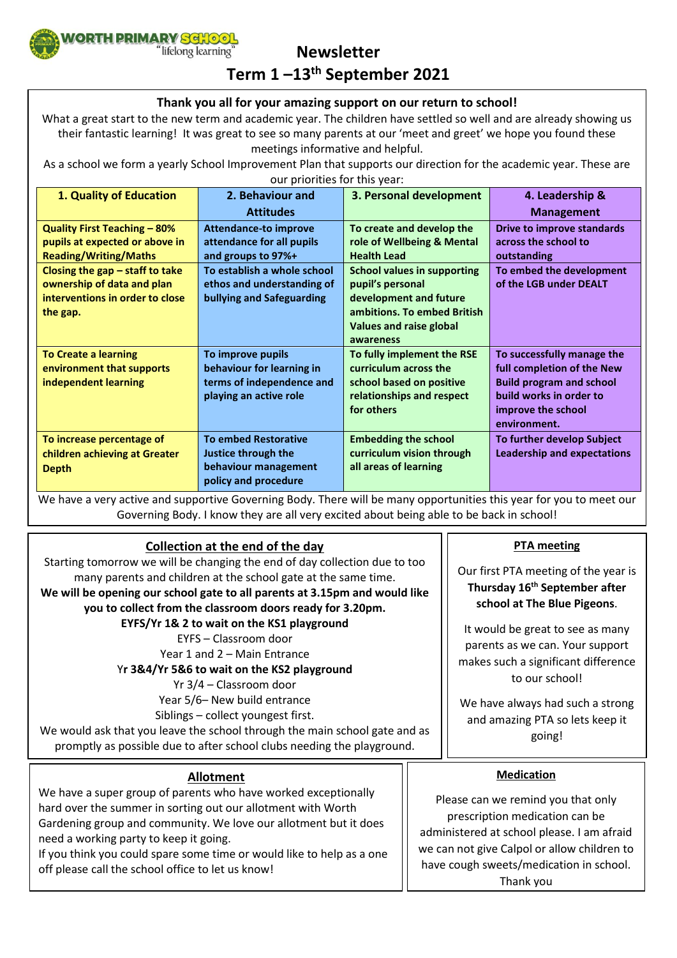

## **Newsletter Term 1 –13th September 2021**

#### **Thank you all for your amazing support on our return to school!**

What a great start to the new term and academic year. The children have settled so well and are already showing us their fantastic learning! It was great to see so many parents at our 'meet and greet' we hope you found these meetings informative and helpful.

As a school we form a yearly School Improvement Plan that supports our direction for the academic year. These are our priorities for this year:

| 1. Quality of Education             | 2. Behaviour and             | 3. Personal development            | 4. Leadership &                    |
|-------------------------------------|------------------------------|------------------------------------|------------------------------------|
|                                     | <b>Attitudes</b>             |                                    | <b>Management</b>                  |
| <b>Quality First Teaching - 80%</b> | <b>Attendance-to improve</b> | To create and develop the          | <b>Drive to improve standards</b>  |
| pupils at expected or above in      | attendance for all pupils    | role of Wellbeing & Mental         | across the school to               |
| <b>Reading/Writing/Maths</b>        | and groups to 97%+           | <b>Health Lead</b>                 | outstanding                        |
| Closing the gap $-$ staff to take   | To establish a whole school  | <b>School values in supporting</b> | To embed the development           |
| ownership of data and plan          | ethos and understanding of   | pupil's personal                   | of the LGB under DEALT             |
| interventions in order to close     | bullying and Safeguarding    | development and future             |                                    |
| the gap.                            |                              | ambitions. To embed British        |                                    |
|                                     |                              | Values and raise global            |                                    |
|                                     |                              | awareness                          |                                    |
| <b>To Create a learning</b>         | To improve pupils            | To fully implement the RSE         | To successfully manage the         |
| environment that supports           | behaviour for learning in    | curriculum across the              | full completion of the New         |
| independent learning                | terms of independence and    | school based on positive           | <b>Build program and school</b>    |
|                                     | playing an active role       | relationships and respect          | build works in order to            |
|                                     |                              | for others                         | improve the school                 |
|                                     |                              |                                    | environment.                       |
| To increase percentage of           | <b>To embed Restorative</b>  | <b>Embedding the school</b>        | To further develop Subject         |
| children achieving at Greater       | Justice through the          | curriculum vision through          | <b>Leadership and expectations</b> |
| <b>Depth</b>                        | behaviour management         | all areas of learning              |                                    |
|                                     | policy and procedure         |                                    |                                    |

We have a very active and supportive Governing Body. There will be many opportunities this year for you to meet our Governing Body. I know they are all very excited about being able to be back in school!

#### **Collection at the end of the day**

Starting tomorrow we will be changing the end of day collection due to too many parents and children at the school gate at the same time.

## **We will be opening our school gate to all parents at 3.15pm and would like**

#### **you to collect from the classroom doors ready for 3.20pm. EYFS/Yr 1& 2 to wait on the KS1 playground**

EYFS – Classroom door

Year 1 and 2 – Main Entrance

Y**r 3&4/Yr 5&6 to wait on the KS2 playground**

Yr 3/4 – Classroom door

Year 5/6– New build entrance

Siblings – collect youngest first.

We would ask that you leave the school through the main school gate and as promptly as possible due to after school clubs needing the playground.

# **PTA meeting**

Our first PTA meeting of the year is **Thursday 16th September after school at The Blue Pigeons**.

It would be great to see as many parents as we can. Your support makes such a significant difference to our school!

We have always had such a strong and amazing PTA so lets keep it going!

#### **Allotment**

We have a super group of parents who have worked exceptionally hard over the summer in sorting out our allotment with Worth Gardening group and community. We love our allotment but it does need a working party to keep it going. If you think you could spare some time or would like to help as a one

off please call the school office to let us know!

#### **Medication**

Please can we remind you that only prescription medication can be administered at school please. I am afraid we can not give Calpol or allow children to have cough sweets/medication in school. Thank you